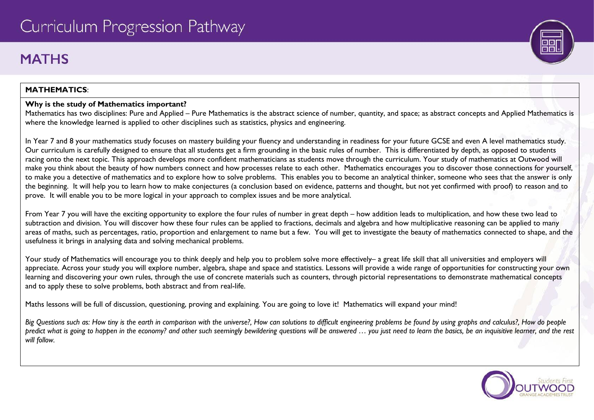# **MATHS**

## **MATHEMATICS**:

#### **Why is the study of Mathematics important?**

Mathematics has two disciplines: Pure and Applied – Pure Mathematics is the abstract science of number, quantity, and space; as abstract concepts and Applied Mathematics is where the knowledge learned is applied to other disciplines such as statistics, physics and engineering.

In Year 7 and 8 your mathematics study focuses on mastery building your fluency and understanding in readiness for your future GCSE and even A level mathematics study. Our curriculum is carefully designed to ensure that all students get a firm grounding in the basic rules of number. This is differentiated by depth, as opposed to students racing onto the next topic. This approach develops more confident mathematicians as students move through the curriculum. Your study of mathematics at Outwood will make you think about the beauty of how numbers connect and how processes relate to each other. Mathematics encourages you to discover those connections for yourself, to make you a detective of mathematics and to explore how to solve problems. This enables you to become an analytical thinker, someone who sees that the answer is only the beginning. It will help you to learn how to make conjectures (a conclusion based on evidence, patterns and thought, but not yet confirmed with proof) to reason and to prove. It will enable you to be more logical in your approach to complex issues and be more analytical.

From Year 7 you will have the exciting opportunity to explore the four rules of number in great depth – how addition leads to multiplication, and how these two lead to subtraction and division. You will discover how these four rules can be applied to fractions, decimals and algebra and how multiplicative reasoning can be applied to many areas of maths, such as percentages, ratio, proportion and enlargement to name but a few. You will get to investigate the beauty of mathematics connected to shape, and the usefulness it brings in analysing data and solving mechanical problems.

Your study of Mathematics will encourage you to think deeply and help you to problem solve more effectively– a great life skill that all universities and employers will appreciate. Across your study you will explore number, algebra, shape and space and statistics. Lessons will provide a wide range of opportunities for constructing your own learning and discovering your own rules, through the use of concrete materials such as counters, through pictorial representations to demonstrate mathematical concepts and to apply these to solve problems, both abstract and from real-life.

Maths lessons will be full of discussion, questioning, proving and explaining. You are going to love it! Mathematics will expand your mind!

*Big Questions such as: How tiny is the earth in comparison with the universe?, How can solutions to difficult engineering problems be found by using graphs and calculus?, How do people predict what is going to happen in the economy? and other such seemingly bewildering questions will be answered … you just need to learn the basics, be an inquisitive learner, and the rest will follow.*



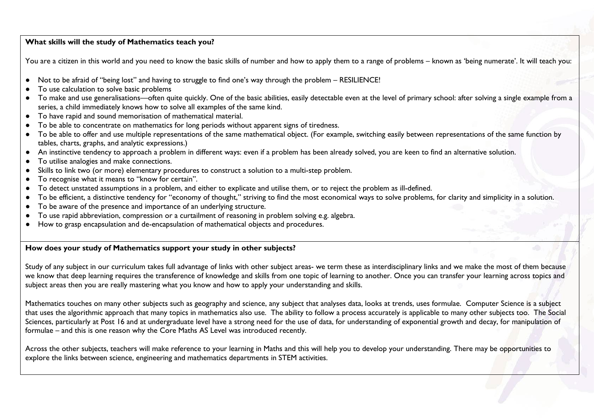#### **What skills will the study of Mathematics teach you?**

You are a citizen in this world and you need to know the basic skills of number and how to apply them to a range of problems – known as 'being numerate'. It will teach you:

- Not to be afraid of "being lost" and having to struggle to find one's way through the problem RESILIENCE!
- To use calculation to solve basic problems
- To make and use generalisations—often quite quickly. One of the basic abilities, easily detectable even at the level of primary school: after solving a single example from a series, a child immediately knows how to solve all examples of the same kind.
- To have rapid and sound memorisation of mathematical material.
- To be able to concentrate on mathematics for long periods without apparent signs of tiredness.
- To be able to offer and use multiple representations of the same mathematical object. (For example, switching easily between representations of the same function by tables, charts, graphs, and analytic expressions.)
- An instinctive tendency to approach a problem in different ways: even if a problem has been already solved, you are keen to find an alternative solution.
- To utilise analogies and make connections.
- Skills to link two (or more) elementary procedures to construct a solution to a multi-step problem.
- To recognise what it means to "know for certain".
- To detect unstated assumptions in a problem, and either to explicate and utilise them, or to reject the problem as ill-defined.
- To be efficient, a distinctive tendency for "economy of thought," striving to find the most economical ways to solve problems, for clarity and simplicity in a solution.
- To be aware of the presence and importance of an underlying structure.
- To use rapid abbreviation, compression or a curtailment of reasoning in problem solving e.g. algebra.
- How to grasp encapsulation and de-encapsulation of mathematical objects and procedures.

## **How does your study of Mathematics support your study in other subjects?**

Study of any subject in our curriculum takes full advantage of links with other subject areas- we term these as interdisciplinary links and we make the most of them because we know that deep learning requires the transference of knowledge and skills from one topic of learning to another. Once you can transfer your learning across topics and subject areas then you are really mastering what you know and how to apply your understanding and skills.

Mathematics touches on many other subjects such as geography and science, any subject that analyses data, looks at trends, uses formulae. Computer Science is a subject that uses the algorithmic approach that many topics in mathematics also use. The ability to follow a process accurately is applicable to many other subjects too. The Social Sciences, particularly at Post 16 and at undergraduate level have a strong need for the use of data, for understanding of exponential growth and decay, for manipulation of formulae – and this is one reason why the Core Maths AS Level was introduced recently.

Across the other subjects, teachers will make reference to your learning in Maths and this will help you to develop your understanding. There may be opportunities to explore the links between science, engineering and mathematics departments in STEM activities.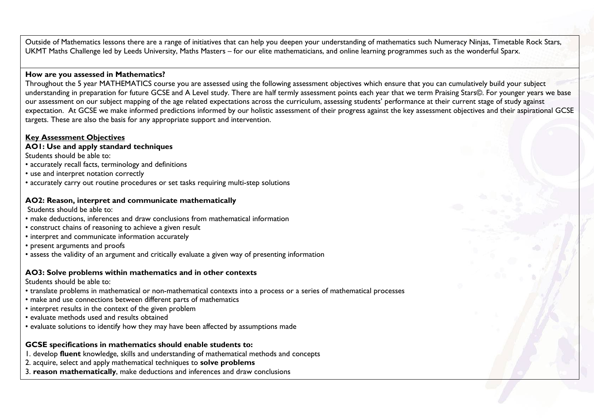Outside of Mathematics lessons there are a range of initiatives that can help you deepen your understanding of mathematics such Numeracy Ninjas, Timetable Rock Stars, UKMT Maths Challenge led by Leeds University, Maths Masters – for our elite mathematicians, and online learning programmes such as the wonderful Sparx.

#### **How are you assessed in Mathematics?**

Throughout the 5 year MATHEMATICS course you are assessed using the following assessment objectives which ensure that you can cumulatively build your subject understanding in preparation for future GCSE and A Level study. There are half termly assessment points each year that we term Praising Stars©. For younger years we base our assessment on our subject mapping of the age related expectations across the curriculum, assessing students' performance at their current stage of study against expectation. At GCSE we make informed predictions informed by our holistic assessment of their progress against the key assessment objectives and their aspirational GCSE targets. These are also the basis for any appropriate support and intervention.

## **Key Assessment Objectives**

## **AO1: Use and apply standard techniques**

Students should be able to:

- accurately recall facts, terminology and definitions
- use and interpret notation correctly
- accurately carry out routine procedures or set tasks requiring multi-step solutions

#### **AO2: Reason, interpret and communicate mathematically**

Students should be able to:

- make deductions, inferences and draw conclusions from mathematical information
- construct chains of reasoning to achieve a given result
- interpret and communicate information accurately
- present arguments and proofs
- assess the validity of an argument and critically evaluate a given way of presenting information

#### **AO3: Solve problems within mathematics and in other contexts**

Students should be able to:

- translate problems in mathematical or non-mathematical contexts into a process or a series of mathematical processes
- make and use connections between different parts of mathematics
- interpret results in the context of the given problem
- evaluate methods used and results obtained
- evaluate solutions to identify how they may have been affected by assumptions made

# **GCSE specifications in mathematics should enable students to:**

- 1. develop **fluent** knowledge, skills and understanding of mathematical methods and concepts
- 2. acquire, select and apply mathematical techniques to **solve problems**
- 3. **reason mathematically**, make deductions and inferences and draw conclusions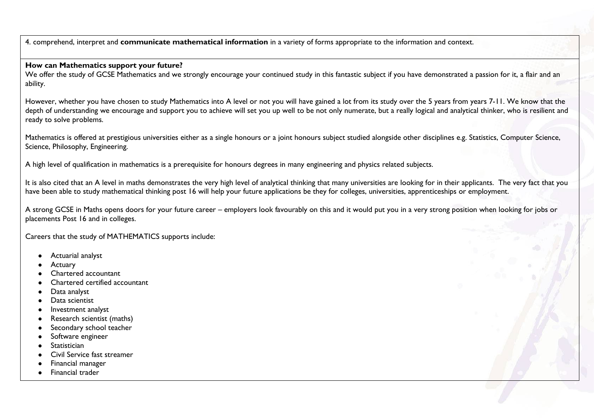4. comprehend, interpret and **communicate mathematical information** in a variety of forms appropriate to the information and context.

#### **How can Mathematics support your future?**

We offer the study of GCSE Mathematics and we strongly encourage your continued study in this fantastic subject if you have demonstrated a passion for it, a flair and an ability.

However, whether you have chosen to study Mathematics into A level or not you will have gained a lot from its study over the 5 years from years 7-11. We know that the depth of understanding we encourage and support you to achieve will set you up well to be not only numerate, but a really logical and analytical thinker, who is resilient and ready to solve problems.

Mathematics is offered at prestigious universities either as a single honours or a joint honours subject studied alongside other disciplines e.g. Statistics, Computer Science, Science, Philosophy, Engineering.

A high level of qualification in mathematics is a prerequisite for honours degrees in many engineering and physics related subjects.

It is also cited that an A level in maths demonstrates the very high level of analytical thinking that many universities are looking for in their applicants. The very fact that you have been able to study mathematical thinking post 16 will help your future applications be they for colleges, universities, apprenticeships or employment.

A strong GCSE in Maths opens doors for your future career – employers look favourably on this and it would put you in a very strong position when looking for jobs or placements Post 16 and in colleges.

Careers that the study of MATHEMATICS supports include:

- Actuarial analyst
- **Actuary**
- Chartered accountant
- Chartered certified accountant
- Data analyst
- Data scientist
- Investment analyst
- Research scientist (maths)
- Secondary school teacher
- Software engineer
- **Statistician**
- Civil Service fast streamer
- **Financial manager**
- Financial trader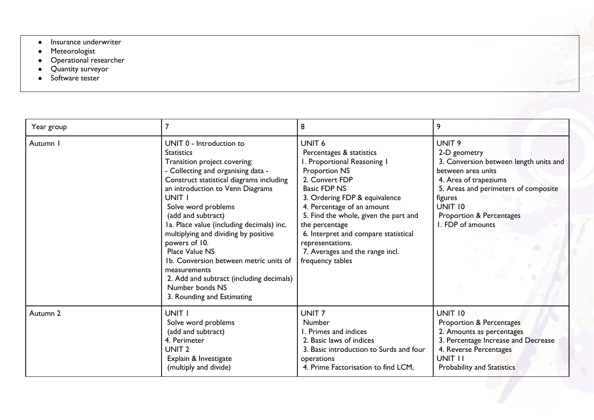- Insurance underwriter
- Meteorologist
- Operational researcher
- Quantity surveyor
- Software tester

| Year group          |                                                                                                                                                                                                                                                                                                                                                                                                                                                                                                                                           | 8                                                                                                                                                                                                                                                                                                                                                                                          | 9                                                                                                                                                                                                                                         |
|---------------------|-------------------------------------------------------------------------------------------------------------------------------------------------------------------------------------------------------------------------------------------------------------------------------------------------------------------------------------------------------------------------------------------------------------------------------------------------------------------------------------------------------------------------------------------|--------------------------------------------------------------------------------------------------------------------------------------------------------------------------------------------------------------------------------------------------------------------------------------------------------------------------------------------------------------------------------------------|-------------------------------------------------------------------------------------------------------------------------------------------------------------------------------------------------------------------------------------------|
| Autumn I            | UNIT 0 - Introduction to<br><b>Statistics</b><br>Transition project covering:<br>- Collecting and organising data -<br>Construct statistical diagrams including<br>an introduction to Venn Diagrams<br>UNIT I<br>Solve word problems<br>(add and subtract)<br>Ia. Place value (including decimals) inc.<br>multiplying and dividing by positive<br>powers of 10.<br>Place Value NS<br>Ib. Conversion between metric units of<br>measurements<br>2. Add and subtract (including decimals)<br>Number bonds NS<br>3. Rounding and Estimating | UNIT <sub>6</sub><br>Percentages & statistics<br>I. Proportional Reasoning I<br><b>Proportion NS</b><br>2. Convert FDP<br><b>Basic FDP NS</b><br>3. Ordering FDP & equivalence<br>4. Percentage of an amount<br>5. Find the whole, given the part and<br>the percentage<br>6. Interpret and compare statistical<br>representations.<br>7. Averages and the range incl.<br>frequency tables | UNIT <sub>9</sub><br>2-D geometry<br>3. Conversion between length units and<br>between area units<br>4. Area of trapeziums<br>5. Areas and perimeters of composite<br>figures<br>UNIT 10<br>Proportion & Percentages<br>I. FDP of amounts |
| Autumn <sub>2</sub> | UNIT I<br>Solve word problems<br>(add and subtract)<br>4. Perimeter<br>UNIT <sub>2</sub><br>Explain & Investigate<br>(multiply and divide)                                                                                                                                                                                                                                                                                                                                                                                                | <b>UNIT7</b><br>Number<br>I. Primes and indices<br>2. Basic laws of indices<br>3. Basic introduction to Surds and four<br>operations<br>4. Prime Factorisation to find LCM,                                                                                                                                                                                                                | UNIT 10<br>Proportion & Percentages<br>2. Amounts as percentages<br>3. Percentage Increase and Decrease<br>4. Reverse Percentages<br>UNIT II<br><b>Probability and Statistics</b>                                                         |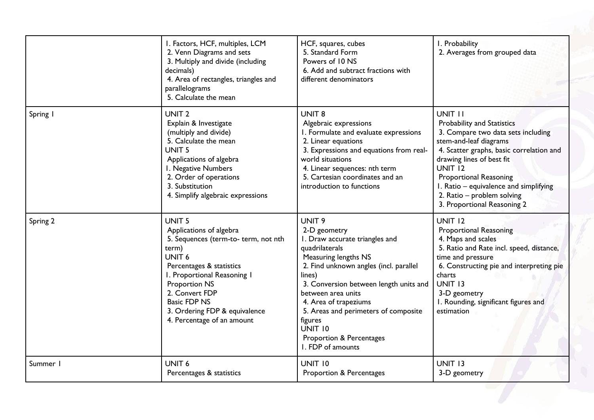|          | I. Factors, HCF, multiples, LCM<br>2. Venn Diagrams and sets<br>3. Multiply and divide (including<br>decimals)<br>4. Area of rectangles, triangles and<br>parallelograms<br>5. Calculate the mean                                                                                                     | HCF, squares, cubes<br>5. Standard Form<br>Powers of 10 NS<br>6. Add and subtract fractions with<br>different denominators                                                                                                                                                                                                                                                | I. Probability<br>2. Averages from grouped data                                                                                                                                                                                                                                                                                          |
|----------|-------------------------------------------------------------------------------------------------------------------------------------------------------------------------------------------------------------------------------------------------------------------------------------------------------|---------------------------------------------------------------------------------------------------------------------------------------------------------------------------------------------------------------------------------------------------------------------------------------------------------------------------------------------------------------------------|------------------------------------------------------------------------------------------------------------------------------------------------------------------------------------------------------------------------------------------------------------------------------------------------------------------------------------------|
| Spring I | UNIT <sub>2</sub><br>Explain & Investigate<br>(multiply and divide)<br>5. Calculate the mean<br><b>UNIT 5</b><br>Applications of algebra<br>I. Negative Numbers<br>2. Order of operations<br>3. Substitution<br>4. Simplify algebraic expressions                                                     | <b>UNIT 8</b><br>Algebraic expressions<br>I. Formulate and evaluate expressions<br>2. Linear equations<br>3. Expressions and equations from real-<br>world situations<br>4. Linear sequences: nth term<br>5. Cartesian coordinates and an<br>introduction to functions                                                                                                    | UNIT II<br><b>Probability and Statistics</b><br>3. Compare two data sets including<br>stem-and-leaf diagrams<br>4. Scatter graphs, basic correlation and<br>drawing lines of best fit<br>UNIT 12<br><b>Proportional Reasoning</b><br>I. Ratio - equivalence and simplifying<br>2. Ratio - problem solving<br>3. Proportional Reasoning 2 |
| Spring 2 | <b>UNIT 5</b><br>Applications of algebra<br>5. Sequences (term-to- term, not nth<br>term)<br><b>UNIT 6</b><br>Percentages & statistics<br>I. Proportional Reasoning I<br><b>Proportion NS</b><br>2. Convert FDP<br><b>Basic FDP NS</b><br>3. Ordering FDP & equivalence<br>4. Percentage of an amount | UNIT <sub>9</sub><br>2-D geometry<br>I. Draw accurate triangles and<br>quadrilaterals<br>Measuring lengths NS<br>2. Find unknown angles (incl. parallel<br>lines)<br>3. Conversion between length units and<br>between area units<br>4. Area of trapeziums<br>5. Areas and perimeters of composite<br>figures<br>UNIT 10<br>Proportion & Percentages<br>I. FDP of amounts | <b>UNIT 12</b><br><b>Proportional Reasoning</b><br>4. Maps and scales<br>5. Ratio and Rate incl. speed, distance,<br>time and pressure<br>6. Constructing pie and interpreting pie<br>charts<br><b>UNIT 13</b><br>3-D geometry<br>I. Rounding, significant figures and<br>estimation                                                     |
| Summer I | <b>UNIT 6</b><br>Percentages & statistics                                                                                                                                                                                                                                                             | UNIT 10<br>Proportion & Percentages                                                                                                                                                                                                                                                                                                                                       | <b>UNIT 13</b><br>3-D geometry                                                                                                                                                                                                                                                                                                           |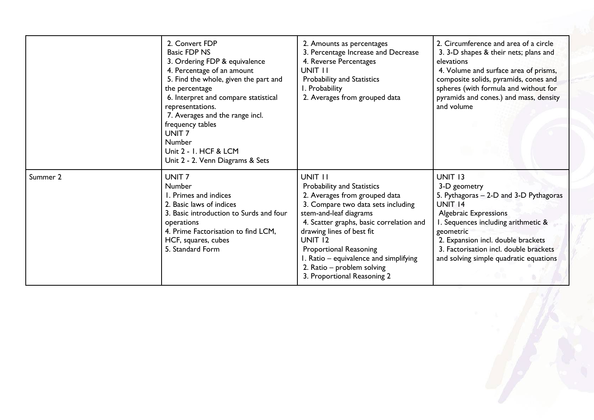|          | 2. Convert FDP<br><b>Basic FDP NS</b><br>3. Ordering FDP & equivalence<br>4. Percentage of an amount<br>5. Find the whole, given the part and<br>the percentage<br>6. Interpret and compare statistical<br>representations.<br>7. Averages and the range incl.<br>frequency tables<br>UNIT <sub>7</sub><br>Number<br>Unit 2 - I. HCF & LCM<br>Unit 2 - 2. Venn Diagrams & Sets | 2. Amounts as percentages<br>3. Percentage Increase and Decrease<br>4. Reverse Percentages<br>UNIT II<br>Probability and Statistics<br>I. Probability<br>2. Averages from grouped data                                                                                                                                                                             | 2. Circumference and area of a circle<br>3. 3-D shapes & their nets; plans and<br>elevations<br>4. Volume and surface area of prisms,<br>composite solids, pyramids, cones and<br>spheres (with formula and without for<br>pyramids and cones.) and mass, density<br>and volume            |
|----------|--------------------------------------------------------------------------------------------------------------------------------------------------------------------------------------------------------------------------------------------------------------------------------------------------------------------------------------------------------------------------------|--------------------------------------------------------------------------------------------------------------------------------------------------------------------------------------------------------------------------------------------------------------------------------------------------------------------------------------------------------------------|--------------------------------------------------------------------------------------------------------------------------------------------------------------------------------------------------------------------------------------------------------------------------------------------|
| Summer 2 | UNIT <sub>7</sub><br>Number<br>1. Primes and indices<br>2. Basic laws of indices<br>3. Basic introduction to Surds and four<br>operations<br>4. Prime Factorisation to find LCM,<br>HCF, squares, cubes<br>5. Standard Form                                                                                                                                                    | UNIT II<br>Probability and Statistics<br>2. Averages from grouped data<br>3. Compare two data sets including<br>stem-and-leaf diagrams<br>4. Scatter graphs, basic correlation and<br>drawing lines of best fit<br>UNIT 12<br><b>Proportional Reasoning</b><br>I. Ratio - equivalence and simplifying<br>2. Ratio - problem solving<br>3. Proportional Reasoning 2 | UNIT 13<br>3-D geometry<br>5. Pythagoras - 2-D and 3-D Pythagoras<br>UNIT 14<br><b>Algebraic Expressions</b><br>I. Sequences including arithmetic &<br>geometric<br>2. Expansion incl. double brackets<br>3. Factorisation incl. double brackets<br>and solving simple quadratic equations |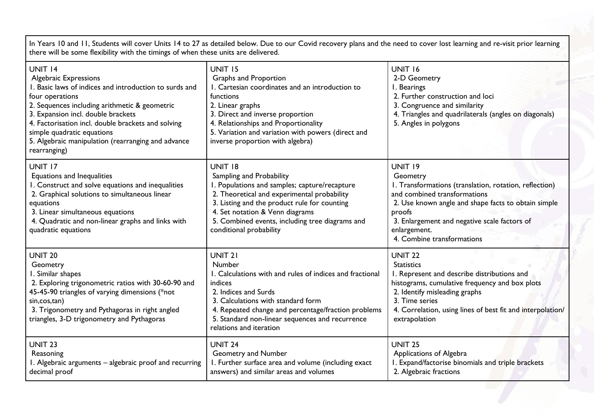In Years 10 and 11, Students will cover Units 14 to 27 as detailed below. Due to our Covid recovery plans and the need to cover lost learning and re-visit prior learning there will be some flexibility with the timings of when these units are delivered. UNIT 14 Algebraic Expressions UNIT 15 Graphs and Proportion UNIT 16 2-D Geometry

| Algebraic Expressions<br>I. Basic laws of indices and introduction to surds and<br>four operations<br>2. Sequences including arithmetic & geometric<br>3. Expansion incl. double brackets<br>4. Factorisation incl. double brackets and solving<br>simple quadratic equations<br>5. Algebraic manipulation (rearranging and advance<br>rearranging) | Graphs and Proportion<br>I. Cartesian coordinates and an introduction to<br>functions<br>2. Linear graphs<br>3. Direct and inverse proportion<br>4. Relationships and Proportionality<br>5. Variation and variation with powers (direct and<br>inverse proportion with algebra)                             | 2-D Geometry<br>I. Bearings<br>2. Further construction and loci<br>3. Congruence and similarity<br>4. Triangles and quadrilaterals (angles on diagonals)<br>5. Angles in polygons                                                                                                   |
|-----------------------------------------------------------------------------------------------------------------------------------------------------------------------------------------------------------------------------------------------------------------------------------------------------------------------------------------------------|-------------------------------------------------------------------------------------------------------------------------------------------------------------------------------------------------------------------------------------------------------------------------------------------------------------|-------------------------------------------------------------------------------------------------------------------------------------------------------------------------------------------------------------------------------------------------------------------------------------|
| UNIT 17<br>Equations and Inequalities<br>I. Construct and solve equations and inequalities<br>2. Graphical solutions to simultaneous linear<br>equations<br>3. Linear simultaneous equations<br>4. Quadratic and non-linear graphs and links with<br>quadratic equations                                                                            | <b>UNIT 18</b><br>Sampling and Probability<br>I. Populations and samples; capture/recapture<br>2. Theoretical and experimental probability<br>3. Listing and the product rule for counting<br>4. Set notation & Venn diagrams<br>5. Combined events, including tree diagrams and<br>conditional probability | <b>UNIT 19</b><br>Geometry<br>I. Transformations (translation, rotation, reflection)<br>and combined transformations<br>2. Use known angle and shape facts to obtain simple<br>proofs<br>3. Enlargement and negative scale factors of<br>enlargement.<br>4. Combine transformations |
| <b>UNIT 20</b><br>Geometry<br>I. Similar shapes<br>2. Exploring trigonometric ratios with 30-60-90 and<br>45-45-90 triangles of varying dimensions (*not<br>sin,cos,tan)<br>3. Trigonometry and Pythagoras in right angled<br>triangles, 3-D trigonometry and Pythagoras                                                                            | UNIT <sub>21</sub><br>Number<br>I. Calculations with and rules of indices and fractional<br>indices<br>2. Indices and Surds<br>3. Calculations with standard form<br>4. Repeated change and percentage/fraction problems<br>5. Standard non-linear sequences and recurrence<br>relations and iteration      | <b>UNIT 22</b><br><b>Statistics</b><br>I. Represent and describe distributions and<br>histograms, cumulative frequency and box plots<br>2. Identify misleading graphs<br>3. Time series<br>4. Correlation, using lines of best fit and interpolation/<br>extrapolation              |
| <b>UNIT 23</b><br>Reasoning<br>I. Algebraic arguments – algebraic proof and recurring<br>decimal proof                                                                                                                                                                                                                                              | UNIT <sub>24</sub><br>Geometry and Number<br>I. Further surface area and volume (including exact<br>answers) and similar areas and volumes                                                                                                                                                                  | <b>UNIT 25</b><br>Applications of Algebra<br>I. Expand/factorise binomials and triple brackets<br>2. Algebraic fractions                                                                                                                                                            |